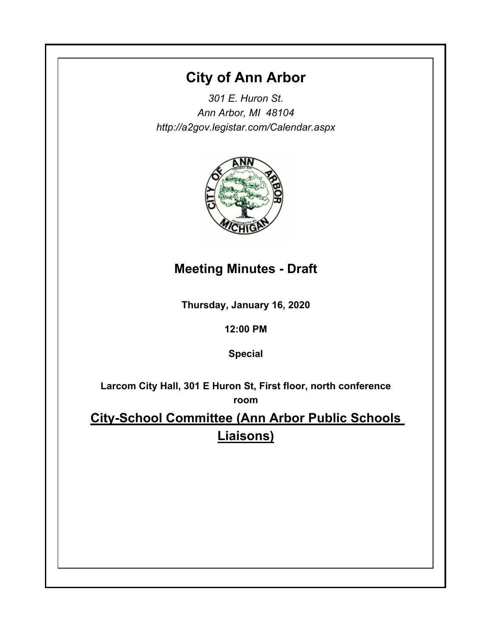# **City of Ann Arbor**

*301 E. Huron St. Ann Arbor, MI 48104 http://a2gov.legistar.com/Calendar.aspx*



## **Meeting Minutes - Draft**

**Thursday, January 16, 2020**

**12:00 PM**

**Special**

**Larcom City Hall, 301 E Huron St, First floor, north conference room**

**City-School Committee (Ann Arbor Public Schools Liaisons)**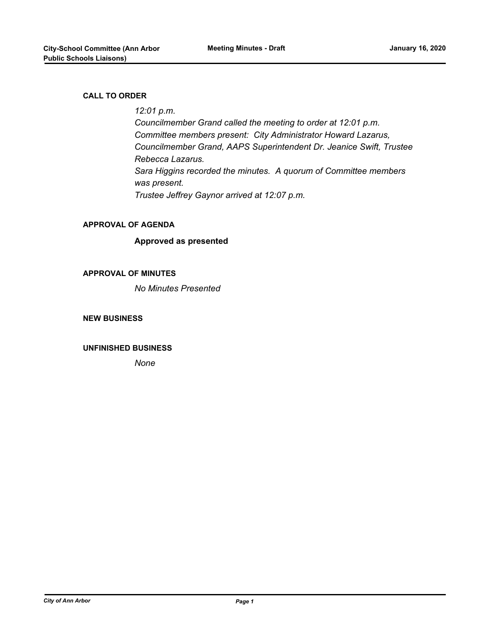#### **CALL TO ORDER**

### *12:01 p.m.*

*Councilmember Grand called the meeting to order at 12:01 p.m. Committee members present: City Administrator Howard Lazarus, Councilmember Grand, AAPS Superintendent Dr. Jeanice Swift, Trustee Rebecca Lazarus. Sara Higgins recorded the minutes. A quorum of Committee members was present. Trustee Jeffrey Gaynor arrived at 12:07 p.m.*

#### **APPROVAL OF AGENDA**

#### **Approved as presented**

#### **APPROVAL OF MINUTES**

*No Minutes Presented*

#### **NEW BUSINESS**

#### **UNFINISHED BUSINESS**

*None*